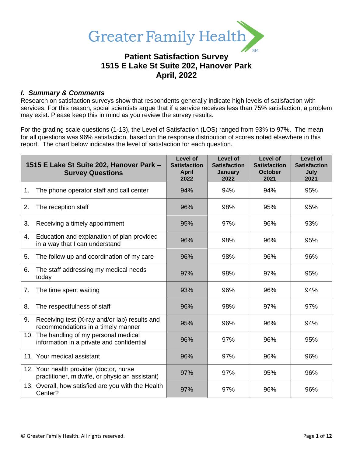

# **Patient Satisfaction Survey 1515 E Lake St Suite 202, Hanover Park April, 2022**

### *I. Summary & Comments*

Research on satisfaction surveys show that respondents generally indicate high levels of satisfaction with services. For this reason, social scientists argue that if a service receives less than 75% satisfaction, a problem may exist. Please keep this in mind as you review the survey results.

For the grading scale questions (1-13), the Level of Satisfaction (LOS) ranged from 93% to 97%. The mean for all questions was 96% satisfaction, based on the response distribution of scores noted elsewhere in this report. The chart below indicates the level of satisfaction for each question.

|                | 1515 E Lake St Suite 202, Hanover Park -<br><b>Survey Questions</b>                       | <b>Level of</b><br><b>Satisfaction</b><br><b>April</b><br>2022 | Level of<br><b>Satisfaction</b><br>January<br>2022 | Level of<br><b>Satisfaction</b><br><b>October</b><br>2021 | <b>Level of</b><br><b>Satisfaction</b><br>July<br>2021 |
|----------------|-------------------------------------------------------------------------------------------|----------------------------------------------------------------|----------------------------------------------------|-----------------------------------------------------------|--------------------------------------------------------|
| 1.             | The phone operator staff and call center                                                  | 94%                                                            | 94%                                                | 94%                                                       | 95%                                                    |
| 2.             | The reception staff                                                                       | 96%                                                            | 98%                                                | 95%                                                       | 95%                                                    |
| 3.             | Receiving a timely appointment                                                            | 95%                                                            | 97%                                                | 96%                                                       | 93%                                                    |
| 4.             | Education and explanation of plan provided<br>in a way that I can understand              | 96%                                                            | 98%                                                | 96%                                                       | 95%                                                    |
| 5.             | The follow up and coordination of my care                                                 | 96%                                                            | 98%                                                | 96%                                                       | 96%                                                    |
| 6.             | The staff addressing my medical needs<br>today                                            | 97%                                                            | 98%                                                | 97%                                                       | 95%                                                    |
| 7 <sub>1</sub> | The time spent waiting                                                                    | 93%                                                            | 96%                                                | 96%                                                       | 94%                                                    |
| 8.             | The respectfulness of staff                                                               | 96%                                                            | 98%                                                | 97%                                                       | 97%                                                    |
| 9.             | Receiving test (X-ray and/or lab) results and<br>recommendations in a timely manner       | 95%                                                            | 96%                                                | 96%                                                       | 94%                                                    |
|                | 10. The handling of my personal medical<br>information in a private and confidential      | 96%                                                            | 97%                                                | 96%                                                       | 95%                                                    |
|                | 11. Your medical assistant                                                                | 96%                                                            | 97%                                                | 96%                                                       | 96%                                                    |
|                | 12. Your health provider (doctor, nurse<br>practitioner, midwife, or physician assistant) | 97%                                                            | 97%                                                | 95%                                                       | 96%                                                    |
|                | 13. Overall, how satisfied are you with the Health<br>Center?                             | 97%                                                            | 97%                                                | 96%                                                       | 96%                                                    |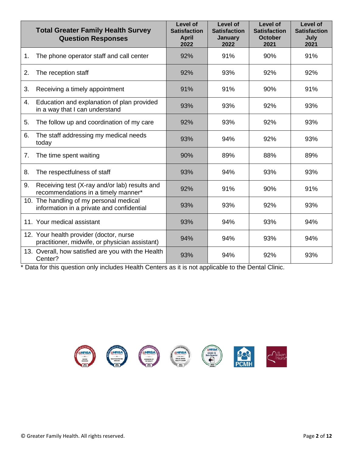|    | <b>Total Greater Family Health Survey</b><br><b>Question Responses</b>                    | Level of<br><b>Satisfaction</b><br><b>April</b><br>2022 | Level of<br><b>Satisfaction</b><br><b>January</b><br>2022 | Level of<br><b>Satisfaction</b><br><b>October</b><br>2021 | Level of<br><b>Satisfaction</b><br>July<br>2021 |
|----|-------------------------------------------------------------------------------------------|---------------------------------------------------------|-----------------------------------------------------------|-----------------------------------------------------------|-------------------------------------------------|
| 1. | The phone operator staff and call center                                                  | 92%                                                     | 91%                                                       | 90%                                                       | 91%                                             |
| 2. | The reception staff                                                                       | 92%                                                     | 93%                                                       | 92%                                                       | 92%                                             |
| 3. | Receiving a timely appointment                                                            | 91%                                                     | 91%                                                       | 90%                                                       | 91%                                             |
| 4. | Education and explanation of plan provided<br>in a way that I can understand              | 93%                                                     | 93%                                                       | 92%                                                       | 93%                                             |
| 5. | The follow up and coordination of my care                                                 | 92%                                                     | 93%                                                       | 92%                                                       | 93%                                             |
| 6. | The staff addressing my medical needs<br>today                                            | 93%                                                     | 94%                                                       | 92%                                                       | 93%                                             |
| 7. | The time spent waiting                                                                    | 90%                                                     | 89%                                                       | 88%                                                       | 89%                                             |
| 8. | The respectfulness of staff                                                               | 93%                                                     | 94%                                                       | 93%                                                       | 93%                                             |
| 9. | Receiving test (X-ray and/or lab) results and<br>recommendations in a timely manner*      | 92%                                                     | 91%                                                       | 90%                                                       | 91%                                             |
|    | 10. The handling of my personal medical<br>information in a private and confidential      | 93%                                                     | 93%                                                       | 92%                                                       | 93%                                             |
|    | 11. Your medical assistant                                                                | 93%                                                     | 94%                                                       | 93%                                                       | 94%                                             |
|    | 12. Your health provider (doctor, nurse<br>practitioner, midwife, or physician assistant) | 94%                                                     | 94%                                                       | 93%                                                       | 94%                                             |
|    | 13. Overall, how satisfied are you with the Health<br>Center?                             | 93%                                                     | 94%                                                       | 92%                                                       | 93%                                             |

\* Data for this question only includes Health Centers as it is not applicable to the Dental Clinic.

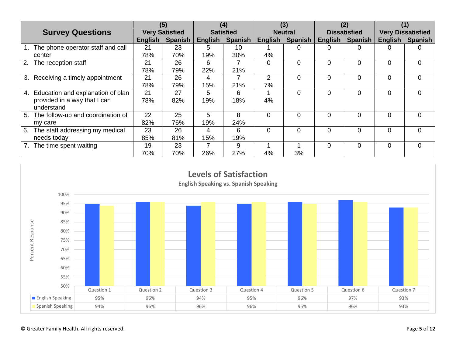|                                         | (5)                   |                | (4)              |                | (3)            |                | (2)                 |                |                          |                |
|-----------------------------------------|-----------------------|----------------|------------------|----------------|----------------|----------------|---------------------|----------------|--------------------------|----------------|
| <b>Survey Questions</b>                 | <b>Very Satisfied</b> |                | <b>Satisfied</b> |                | <b>Neutral</b> |                | <b>Dissatisfied</b> |                | <b>Very Dissatisfied</b> |                |
|                                         | <b>English</b>        | <b>Spanish</b> | <b>English</b>   | <b>Spanish</b> | English        | <b>Spanish</b> | <b>English</b>      | <b>Spanish</b> | <b>English</b>           | <b>Spanish</b> |
| The phone operator staff and call       | 21                    | 23             | 5.               | 10             |                | 0              |                     |                |                          |                |
| center                                  | 78%                   | 70%            | 19%              | 30%            | 4%             |                |                     |                |                          |                |
| 2.<br>The reception staff               | 21                    | 26             | 6                |                | $\Omega$       | 0              | $\Omega$            |                | $\Omega$                 | $\Omega$       |
|                                         | 78%                   | 79%            | 22%              | 21%            |                |                |                     |                |                          |                |
| 3. Receiving a timely appointment       | 21                    | 26             | 4                |                | 2              | 0              | $\Omega$            |                | 0                        | $\overline{0}$ |
|                                         | 78%                   | 79%            | 15%              | 21%            | 7%             |                |                     |                |                          |                |
| Education and explanation of plan<br>4. | 21                    | 27             | 5.               | 6              |                | 0              | $\Omega$            | 0              | 0                        | $\Omega$       |
| provided in a way that I can            | 78%                   | 82%            | 19%              | 18%            | 4%             |                |                     |                |                          |                |
| understand                              |                       |                |                  |                |                |                |                     |                |                          |                |
| The follow-up and coordination of<br>5. | 22                    | 25             | 5                | 8              | $\Omega$       | 0              | $\Omega$            | $\Omega$       | $\Omega$                 | $\Omega$       |
| my care                                 | 82%                   | 76%            | 19%              | 24%            |                |                |                     |                |                          |                |
| 6.<br>The staff addressing my medical   | 23                    | 26             | 4                | 6              | $\Omega$       | 0              | $\Omega$            | $\Omega$       | $\Omega$                 | $\Omega$       |
| needs today                             | 85%                   | 81%            | 15%              | 19%            |                |                |                     |                |                          |                |
| The time spent waiting                  | 19                    | 23             |                  | 9              |                |                | $\Omega$            |                | $\Omega$                 | $\Omega$       |
|                                         | 70%                   | 70%            | 26%              | 27%            | 4%             | 3%             |                     |                |                          |                |

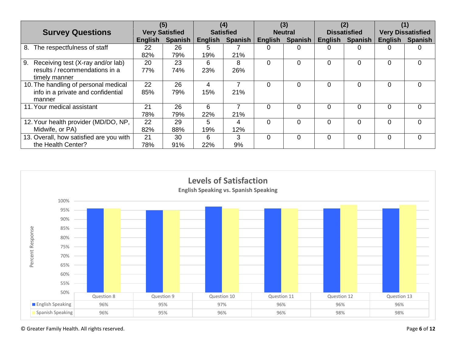|                                         | (5)                   |                | (4)              |         | (3)            |         | (2)                 |                | (1)                      |                |
|-----------------------------------------|-----------------------|----------------|------------------|---------|----------------|---------|---------------------|----------------|--------------------------|----------------|
| <b>Survey Questions</b>                 | <b>Very Satisfied</b> |                | <b>Satisfied</b> |         | <b>Neutral</b> |         | <b>Dissatisfied</b> |                | <b>Very Dissatisfied</b> |                |
|                                         | <b>English</b>        | <b>Spanish</b> | English          | Spanish | English        | Spanish | <b>English</b>      | <b>Spanish</b> | English                  | <b>Spanish</b> |
| The respectfulness of staff<br>8.       | 22                    | 26             | 5                |         | 0              | 0       | 0                   |                | 0                        | $\mathbf{0}$   |
|                                         | 82%                   | 79%            | 19%              | 21%     |                |         |                     |                |                          |                |
| 9.<br>Receiving test (X-ray and/or lab) | 20                    | 23             | 6                | 8       | $\Omega$       | 0       | 0                   |                | 0                        | $\Omega$       |
| results / recommendations in a          | 77%                   | 74%            | 23%              | 26%     |                |         |                     |                |                          |                |
| timely manner                           |                       |                |                  |         |                |         |                     |                |                          |                |
| 10. The handling of personal medical    | 22                    | 26             | 4                |         | $\Omega$       | 0       | $\Omega$            |                | 0                        | $\Omega$       |
| info in a private and confidential      | 85%                   | 79%            | 15%              | 21%     |                |         |                     |                |                          |                |
| manner                                  |                       |                |                  |         |                |         |                     |                |                          |                |
| 11. Your medical assistant              | 21                    | 26             | 6                |         | $\Omega$       | 0       | $\Omega$            |                | 0                        | $\Omega$       |
|                                         | 78%                   | 79%            | 22%              | 21%     |                |         |                     |                |                          |                |
| 12. Your health provider (MD/DO, NP,    | 22                    | 29             | 5.               | 4       | $\Omega$       | 0       | $\overline{0}$      | 0              | $\Omega$                 | $\Omega$       |
| Midwife, or PA)                         | 82%                   | 88%            | 19%              | 12%     |                |         |                     |                |                          |                |
| 13. Overall, how satisfied are you with | 21                    | 30             | 6                | 3       | $\Omega$       | 0       | $\Omega$            | 0              | $\Omega$                 | $\Omega$       |
| the Health Center?                      | 78%                   | 91%            | 22%              | 9%      |                |         |                     |                |                          |                |

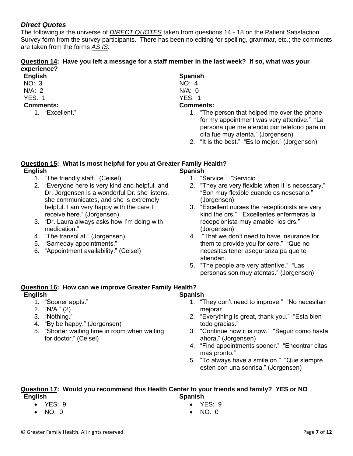## *Direct Quotes*

The following is the universe of *DIRECT QUOTES* taken from questions 14 - 18 on the Patient Satisfaction Survey form from the survey participants. There has been no editing for spelling, grammar, etc.; the comments are taken from the forms *AS IS*:

### **Question 14: Have you left a message for a staff member in the last week? If so, what was your experience?**

## **English**

- NO: 3
- N/A: 2
- YES: 1
- **Comments:**
	- 1. "Excellent."

# **Spanish**

- NO: 4
- N/A: 0 YES: 1

# **Comments:**

- 1. "The person that helped me over the phone for my appointment was very attentive." "La persona que me atendio por telefono para mi cita fue muy atenta." (Jorgensen)
- 2. "It is the best." "Es lo mejor." (Jorgensen)

### **Question 15: What is most helpful for you at Greater Family Health? English Spanish**

- 1. "The friendly staff." (Ceisel)
- 2. "Everyone here is very kind and helpful, and Dr. Jorgensen is a wonderful Dr. she listens, she communicates, and she is extremely helpful. I am very happy with the care I receive here." (Jorgensen)
- 3. "Dr. Laura always asks how I'm doing with medication."
- 4. "The transol at." (Jorgensen)
- 5. "Sameday appointments."
- 6. "Appointment availability." (Ceisel)
- 1. "Service." "Servicio."
- 2. "They are very flexible when it is necessary." "Son muy flexible cuando es nesesario." (Jorgensen)
- 3. "Excellent nurses the receptionists are very kind the drs." "Excellentes enfermeras la recepcionista muy amable los drs." (Jorgensen)
- 4. "That we don't need to have insurance for them to provide you for care." "Que no necesitas tener aseguranza pa que te atiendan."
- 5. "The people are very attentive." "Las personas son muy atentas." (Jorgensen)

#### **Question 16: How can we improve Greater Family Health? English Spanish**

- 1. "Sooner appts."
- 2. "N/A." (2)
- 3. "Nothing."
- 4. "By be happy." (Jorgensen)
- 5. "Shorter waiting time in room when waiting for doctor." (Ceisel)
- 1. "They don't need to improve." "No necesitan mejorar."
- 2. "Everything is great, thank you." "Esta bien todo gracias."
- 3. "Continue how it is now." "Seguir como hasta ahora." (Jorgensen)
- 4. "Find appointments sooner." "Encontrar citas mas pronto."
- 5. "To always have a smile on." "Que siempre esten con una sonrisa." (Jorgensen)

### **Question 17: Would you recommend this Health Center to your friends and family? YES or NO English Spanish**

- YES: 9
- NO: 0
- YES: 9
- NO: 0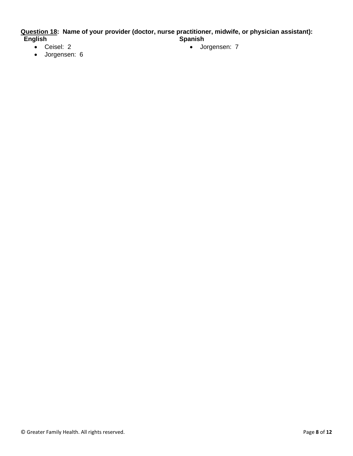**Question 18: Name of your provider (doctor, nurse practitioner, midwife, or physician assistant): English Spanish**

- Ceisel: 2
- Jorgensen: 6

• Jorgensen: 7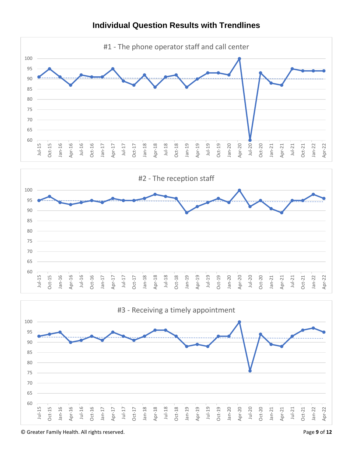

## **Individual Question Results with Trendlines**

© Greater Family Health. All rights reserved. Page **9** of **12**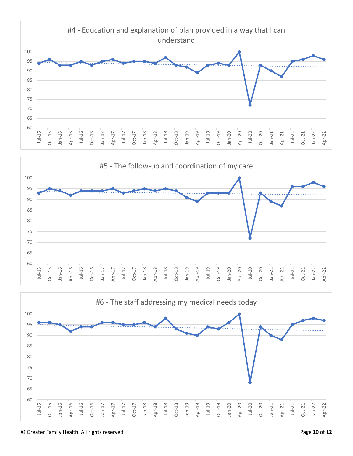



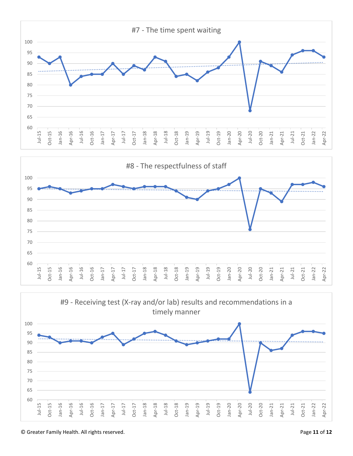